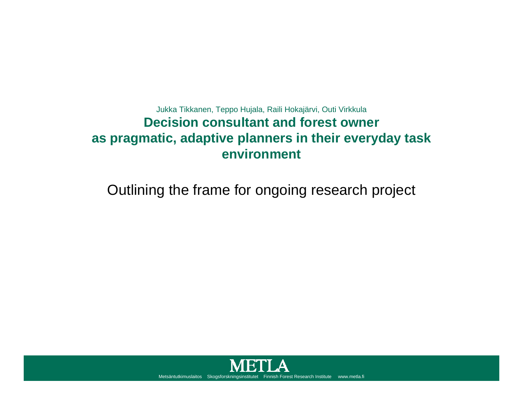#### Jukka Tikkanen, Teppo Hujala, Raili Hokajärvi, Outi Virkkula **Decision consultant and forest owner as pragmatic, adaptive planners in their everyday task environment**

Outlining the frame for ongoing research project

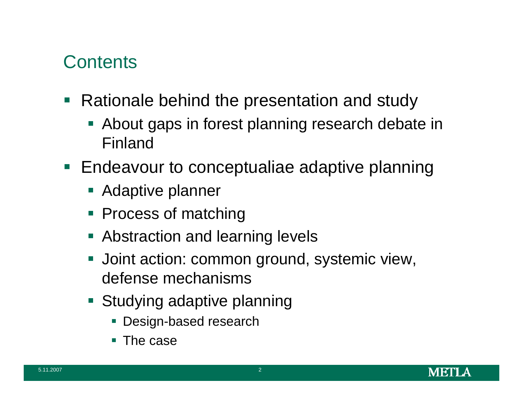### **Contents**

- Rationale behind the presentation and study
	- About gaps in forest planning research debate in Finland
- **Endeavour to conceptualiae adaptive planning** 
	- **Adaptive planner**
	- **Process of matching**
	- **Abstraction and learning levels**
	- **Joint action: common ground, systemic view,** defense mechanisms
	- **Studying adaptive planning** 
		- Design-based research
		- $\blacksquare$  The case

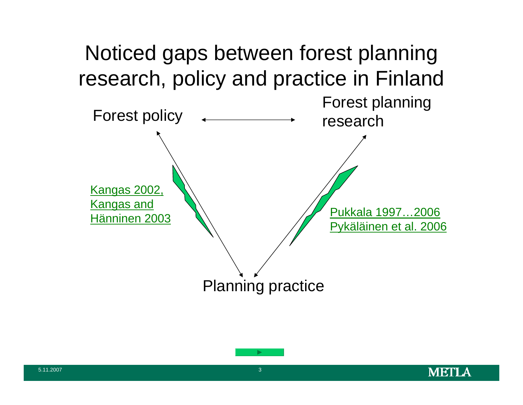



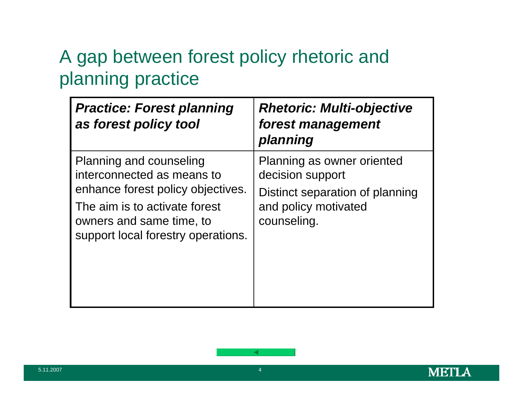### A gap between forest policy rhetoric and planning practice

| <b>Practice: Forest planning</b><br>as forest policy tool                                                                                                                                     | <b>Rhetoric: Multi-objective</b><br>forest management<br>planning                                                        |
|-----------------------------------------------------------------------------------------------------------------------------------------------------------------------------------------------|--------------------------------------------------------------------------------------------------------------------------|
| Planning and counseling<br>interconnected as means to<br>enhance forest policy objectives.<br>The aim is to activate forest<br>owners and same time, to<br>support local forestry operations. | Planning as owner oriented<br>decision support<br>Distinct separation of planning<br>and policy motivated<br>counseling. |

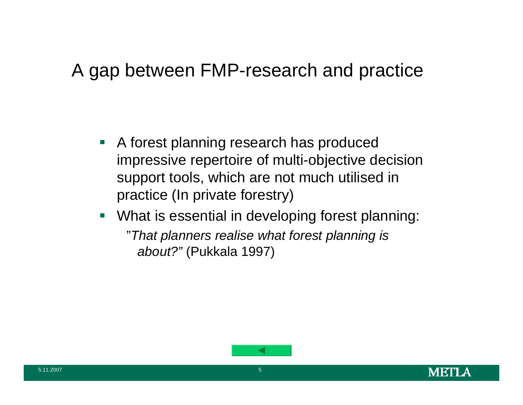#### A gap between FMP-research and practice

- $\mathcal{L}_{\mathcal{A}}$  A forest planning research has produced impressive repertoire of multi-objective decision support tools, which are not much utilised in practice (In private forestry)
- $\overline{\mathcal{L}}$  What is essential in developing forest planning: "*That planners realise what forest planning is about?"* (Pukkala 1997)

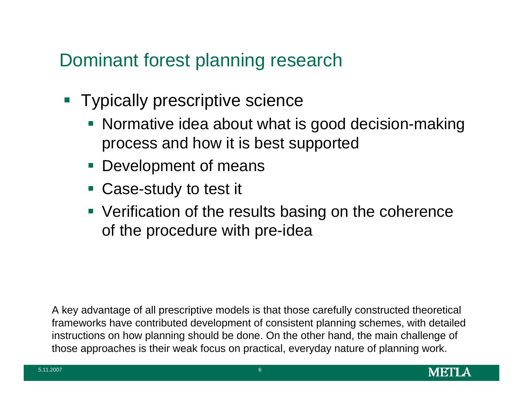### Dominant forest planning research

- **Typically prescriptive science** 
	- Normative idea about what is good decision-making process and how it is best supported
	- **Development of means**
	- Case-study to test it
	- **Verification of the results basing on the coherence** of the procedure with pre-idea

A key advantage of all prescriptive models is that those carefully constructed theoretical frameworks have contributed development of consistent planning schemes, with detailed instructions on how planning should be done. On the other hand, the main challenge of those approaches is their weak focus on practical, everyday nature of planning work.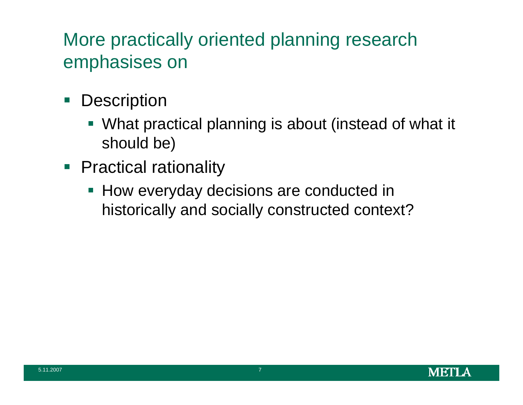### More practically oriented planning research emphasises on

- $\Box$ **Description** 
	- What practical planning is about (instead of what it should be)
- **Practical rationality** 
	- **How everyday decisions are conducted in** historically and socially constructed context?

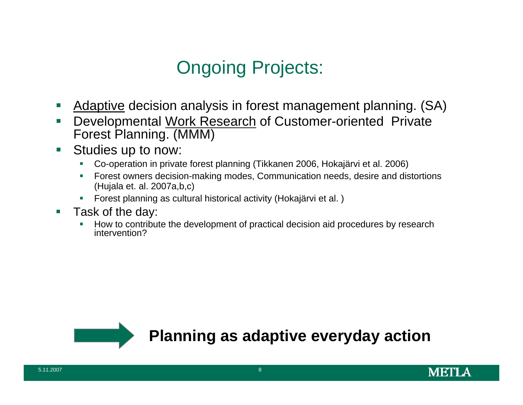### Ongoing Projects:

- $\mathcal{L}^{\text{max}}$ Adaptive decision analysis in forest management planning. (SA)
- $\mathcal{C}^{\mathcal{A}}$  Developmental Work Research of Customer-oriented Private Forest Planning. (MMM)
- $\mathcal{L}_{\mathcal{A}}$  Studies up to now:
	- $\overline{\phantom{a}}$ Co-operation in private forest planning (Tikkanen 2006, Hokajärvi et al. 2006)
	- Forest owners decision-making modes, Communication needs, desire and distortions (Hujala et. al. 2007a,b,c)
	- Forest planning as cultural historical activity (Hokajärvi et al. )
- $\mathcal{L}_{\mathcal{A}}$  Task of the day:
	- $\blacksquare$  How to contribute the development of practical decision aid procedures by research intervention?



**Planning as adaptive everyday action**

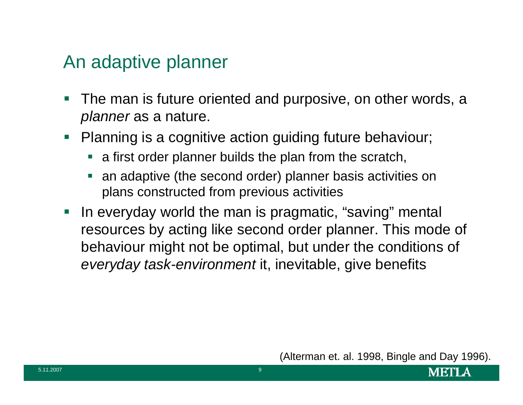#### An adaptive planner

- $\mathbb{R}^n$  The man is future oriented and purposive, on other words, a *planner* as a nature.
- $\Box$  Planning is a cognitive action guiding future behaviour;
	- **Example 2 rand first order planner builds the plan from the scratch,**
	- e<br>S an adaptive (the second order) planner basis activities on plans constructed from previous activities
- **IF In everyday world the man is pragmatic, "saving" mental** resources by acting like second order planner. This mode of behaviour might not be optimal, but under the conditions of *everyday task-environment* it, inevitable, give benefits

(Alterman et. al. 1998, Bingle and Day 1996).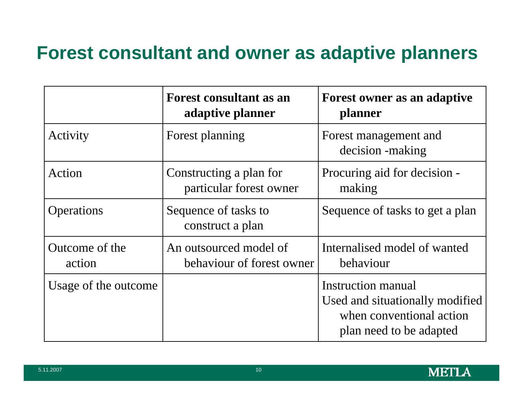### **Forest consultant and owner as adaptive planners**

|                          | <b>Forest consultant as an</b><br>adaptive planner  | Forest owner as an adaptive<br>planner                                                                              |  |
|--------------------------|-----------------------------------------------------|---------------------------------------------------------------------------------------------------------------------|--|
| Activity                 | Forest planning                                     | Forest management and<br>decision -making                                                                           |  |
| Action                   | Constructing a plan for<br>particular forest owner  | Procuring aid for decision -<br>making                                                                              |  |
| <b>Operations</b>        | Sequence of tasks to<br>construct a plan            | Sequence of tasks to get a plan                                                                                     |  |
| Outcome of the<br>action | An outsourced model of<br>behaviour of forest owner | Internalised model of wanted<br>behaviour                                                                           |  |
| Usage of the outcome     |                                                     | <b>Instruction manual</b><br>Used and situationally modified<br>when conventional action<br>plan need to be adapted |  |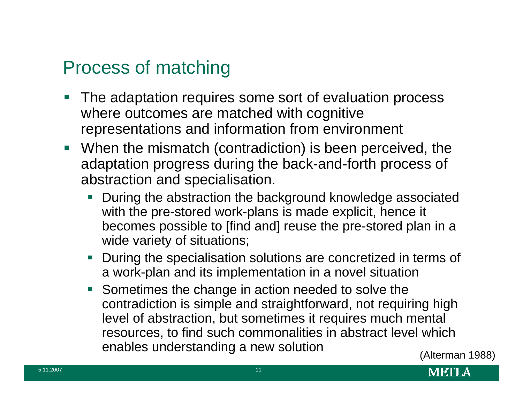### Process of matching

- $\mathbb{R}^2$  The adaptation requires some sort of evaluation process where outcomes are matched with cognitive representations and information from environment
- When the mismatch (contradiction) is been perceived, the adaptation progress during the back-and-forth process of abstraction and specialisation.
	- During the abstraction the background knowledge associated with the pre-stored work-plans is made explicit, hence it becomes possible to [find and] reuse the pre-stored plan in a wide variety of situations;
	- During the specialisation solutions are concretized in terms of a work-plan and its implementation in a novel situation
	- Sometimes the change in action needed to solve the contradiction is simple and straightforward, not requiring high level of abstraction, but sometimes it requires much mental resources, to find such commonalities in abstract level which enables understanding a new solution (Alterman 1988)

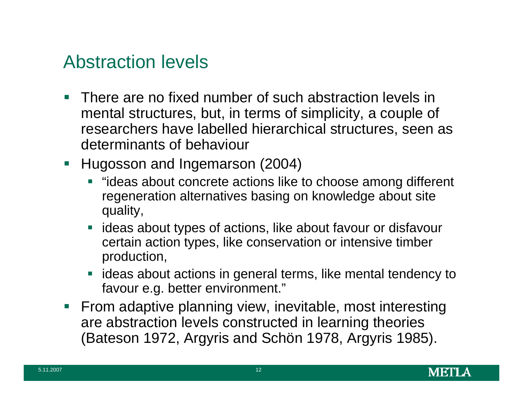### Abstraction levels

- $\mathcal{C}^{\mathcal{A}}$  There are no fixed number of such abstraction levels in mental structures, but, in terms of simplicity, a couple of researchers have labelled hierarchical structures, seen as determinants of behaviour
- **Hugosson and Ingemarson (2004)** 
	- **T** "ideas about concrete actions like to choose among different regeneration alternatives basing on knowledge about site quality,
	- **If ideas about types of actions, like about favour or disfavour** certain action types, like conservation or intensive timber production,
	- $\blacksquare$  ideas about actions in general terms, like mental tendency to favour e.g. better environment."
- **Firm adaptive planning view, inevitable, most interesting** are abstraction levels constructed in learning theories (Bateson 1972, Argyris and Schön 1978, Argyris 1985).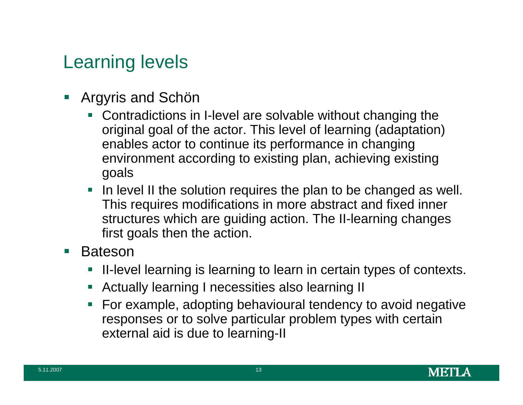### Learning levels

- $\mathcal{L}_{\mathcal{A}}$  Argyris and Schön
	- Contradictions in I-level are solvable without changing the original goal of the actor. This level of learning (adaptation) enables actor to continue its performance in changing environment according to existing plan, achieving existing goals
	- $\blacksquare$  In level II the solution requires the plan to be changed as well. This requires modifications in more abstract and fixed inner structures which are guiding action. The II-learning changes first goals then the action.
- $\mathcal{L}_{\mathrm{eff}}$  Bateson
	- e<br>S II-level learning is learning to learn in certain types of contexts.
	- $\mathcal{L}_{\mathcal{A}}$ Actually learning I necessities also learning II
	- **Service Service**  For example, adopting behavioural tendency to avoid negative responses or to solve particular problem types with certain external aid is due to learning-II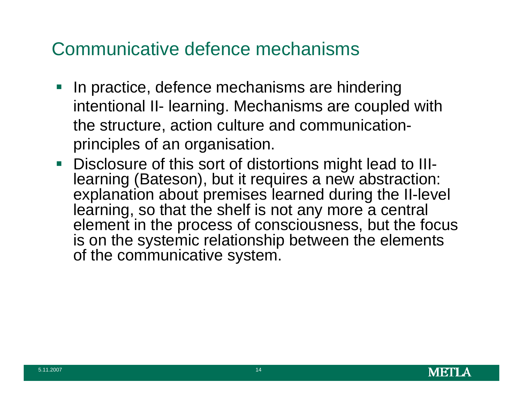#### Communicative defence mechanisms

- In practice, defence mechanisms are hindering intentional II- learning. Mechanisms are coupled with the structure, action culture and communicationprinciples of an organisation.
- **Disclosure of this sort of distortions might lead to III**learning (Bateson), but it requires a new abstraction: explanation about premises learned during the II-level learning, so that the shelf is not any more a central element in the process of consciousness, but the focus is on the systemic relationship between the elements of the communicative system.

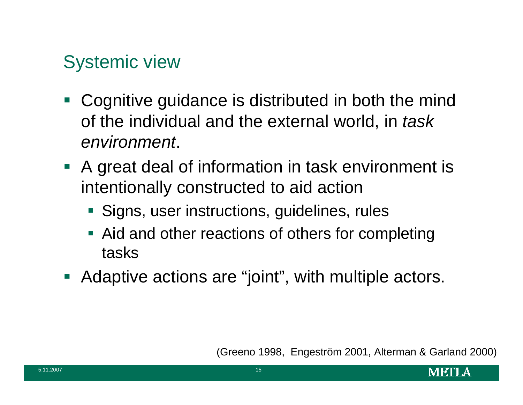### Systemic view

- Cognitive guidance is distributed in both the mind of the individual and the external world, in *task environment*.
- **A** great deal of information in task environment is intentionally constructed to aid action
	- **Signs, user instructions, guidelines, rules**
	- **Aid and other reactions of others for completing** tasks
- **Adaptive actions are "joint", with multiple actors.**

(Greeno 1998, Engeström 2001, Alterman & Garland 2000)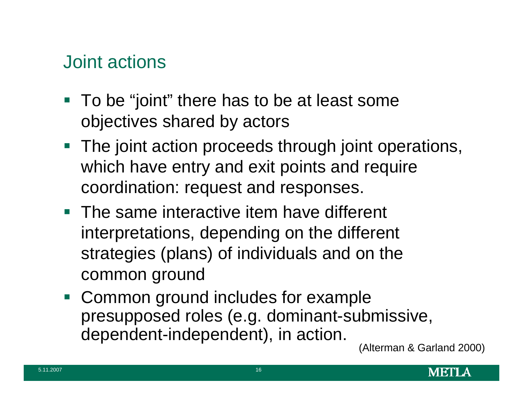### Joint actions

- To be "joint" there has to be at least some objectives shared by actors
- **The joint action proceeds through joint operations,** which have entry and exit points and require coordination: request and responses.
- **The same interactive item have different** interpretations, depending on the different strategies (plans) of individuals and on the common ground
- $\mathcal{L}_{\mathcal{A}}$  Common ground includes for example presupposed roles (e.g. dominant-submissive, dependent-independent), in action. (Alterman & Garland 2000)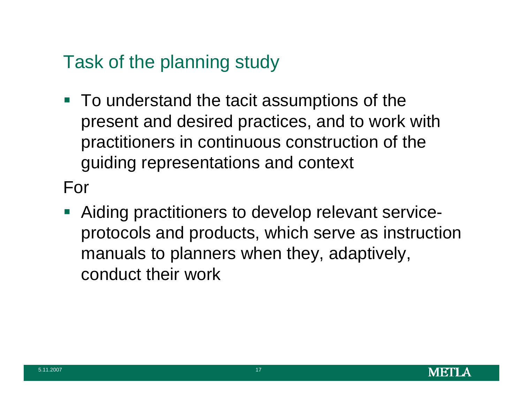### Task of the planning study

■ To understand the tacit assumptions of the present and desired practices, and to work with practitioners in continuous construction of the guiding representations and context

For

**Aiding practitioners to develop relevant service**protocols and products, which serve as instruction manuals to planners when they, adaptively, conduct their work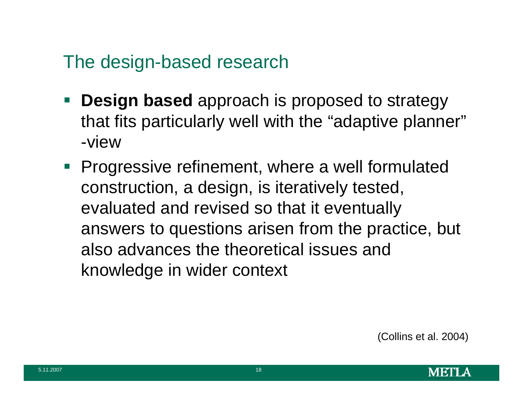### The design-based research

- **Design based** approach is proposed to strategy that fits particularly well with the "adaptive planner" -view
- **Progressive refinement, where a well formulated** construction, a design, is iteratively tested, evaluated and revised so that it eventually answers to questions arisen from the practice, but also advances the theoretical issues and knowledge in wider context

(Collins et al. 2004)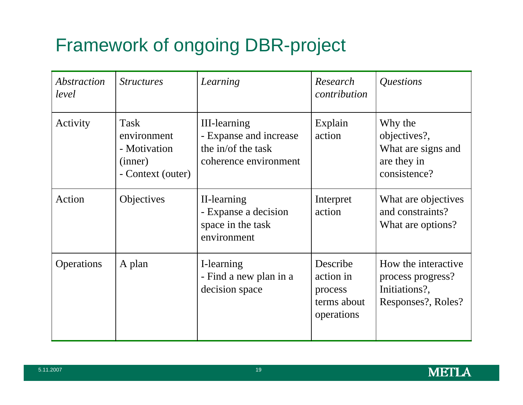## Framework of ongoing DBR-project

| <i><b>Abstraction</b></i><br>level | <i><u><b>Structures</b></u></i>                                     | Learning                                                                                     | Research<br>contribution                                      | Questions                                                                       |
|------------------------------------|---------------------------------------------------------------------|----------------------------------------------------------------------------------------------|---------------------------------------------------------------|---------------------------------------------------------------------------------|
| Activity                           | Task<br>environment<br>- Motivation<br>(inner)<br>- Context (outer) | <b>III-learning</b><br>- Expanse and increase<br>the in/of the task<br>coherence environment | Explain<br>action                                             | Why the<br>objectives?,<br>What are signs and<br>are they in<br>consistence?    |
| Action                             | <b>Objectives</b>                                                   | II-learning<br>- Expanse a decision<br>space in the task<br>environment                      | Interpret<br>action                                           | What are objectives<br>and constraints?<br>What are options?                    |
| Operations                         | A plan                                                              | I-learning<br>- Find a new plan in a<br>decision space                                       | Describe<br>action in<br>process<br>terms about<br>operations | How the interactive<br>process progress?<br>Initiations?,<br>Responses?, Roles? |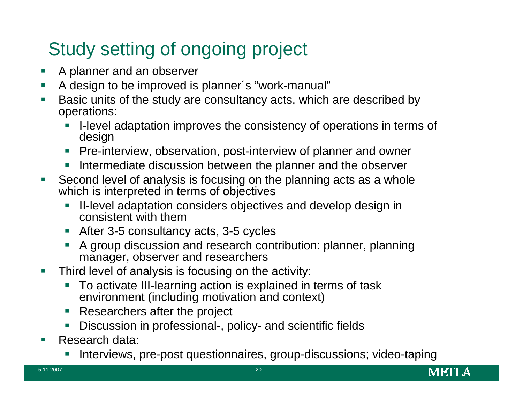### Study setting of ongoing project

- Г A planner and an observer
- $\mathcal{C}$ A design to be improved is planner´s "work-manual"
- Г Basic units of the study are consultancy acts, which are described by operations:
	- Г I-level adaptation improves the consistency of operations in terms of design
	- **Pre-interview, observation, post-interview of planner and owner**
	- $\mathcal{C}$ Intermediate discussion between the planner and the observer
- Г Second level of analysis is focusing on the planning acts as a whole which is interpreted in terms of objectives
	- ⊑ II-level adaptation considers objectives and develop design in consistent with them
	- After 3-5 consultancy acts, 3-5 cycles
	- Г A group discussion and research contribution: planner, planning manager, observer and researchers
- Г Third level of analysis is focusing on the activity:
	- To activate III-learning action is explained in terms of task environment (including motivation and context)
	- $\mathcal{C}$ Researchers after the project
	- ⊑ Discussion in professional-, policy- and scientific fields
- Г Research data:
	- Г Interviews, pre-post questionnaires, group-discussions; video-taping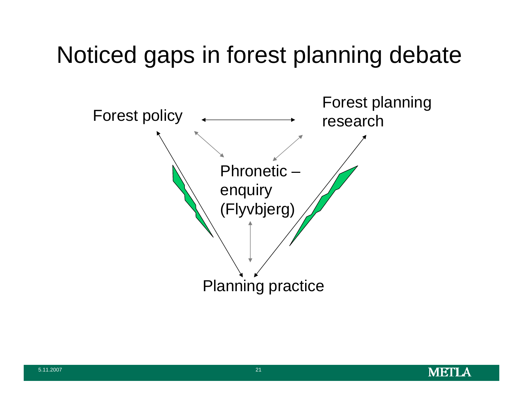# Noticed gaps in forest planning debate